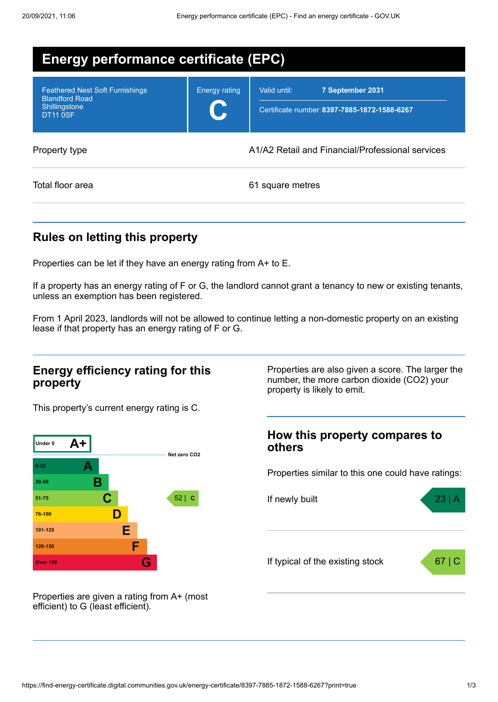| <b>Energy performance certificate (EPC)</b>                                                         |                      |                                                                                  |  |
|-----------------------------------------------------------------------------------------------------|----------------------|----------------------------------------------------------------------------------|--|
| <b>Feathered Nest Soft Furnishings</b><br><b>Blandford Road</b><br>Shillingstone<br><b>DT11 0SF</b> | <b>Energy rating</b> | Valid until:<br>7 September 2031<br>Certificate number: 8397-7885-1872-1588-6267 |  |
| Property type                                                                                       |                      | A1/A2 Retail and Financial/Professional services                                 |  |
| Total floor area                                                                                    |                      | 61 square metres                                                                 |  |

# **Rules on letting this property**

Properties can be let if they have an energy rating from A+ to E.

If a property has an energy rating of F or G, the landlord cannot grant a tenancy to new or existing tenants, unless an exemption has been registered.

From 1 April 2023, landlords will not be allowed to continue letting a non-domestic property on an existing lease if that property has an energy rating of F or G.

### **Energy efficiency rating for this property**

This property's current energy rating is C.



**How this property compares to**

property is likely to emit.

**others**

Properties similar to this one could have ratings:

Properties are also given a score. The larger the number, the more carbon dioxide (CO2) your



Properties are given a rating from A+ (most efficient) to G (least efficient).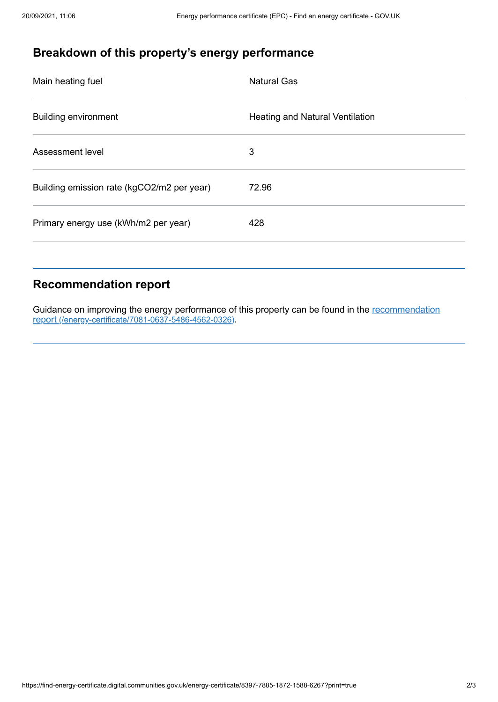# **Breakdown of this property's energy performance**

| Main heating fuel                          | <b>Natural Gas</b>                     |
|--------------------------------------------|----------------------------------------|
| <b>Building environment</b>                | <b>Heating and Natural Ventilation</b> |
| Assessment level                           | 3                                      |
| Building emission rate (kgCO2/m2 per year) | 72.96                                  |
| Primary energy use (kWh/m2 per year)       | 428                                    |
|                                            |                                        |

### **Recommendation report**

Guidance on improving the energy performance of this property can be found in the recommendation report [\(/energy-certificate/7081-0637-5486-4562-0326\)](https://find-energy-certificate.digital.communities.gov.uk/energy-certificate/7081-0637-5486-4562-0326).